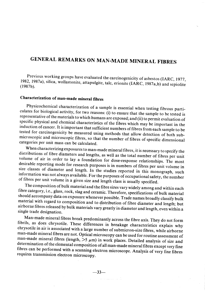# GENERAL REMARKS ON MAN-MADE MINERAL FIBRES

Previous working groups have evaluated the carcinogenicity of asbestos (lARC, 1977, 1982, 1987a), silica, wollastonite, attapulgite, talc, erionite (IARC, 1987a,b) and sepiolite (l987b).

## Characterization of man-made mineraI fibres

Physicochemical characterization of a sample is essential when testing fibrous particulates for biological activity, for two reasons: (i) to ensure that the sample to be tested is representative of the materials to which humans are exposed; and (ii) to permit evaluation of specific physical and chemical characteristics of the fibres which may be important in the induction of cancer. It is important that sufficient numbers of fibres from each sample to be tested for carcinogenicity be measured using methods that allow detection of both submicroscopie and microscopic fibres, so that the number of fibres of specific dimensional categories per unit mass can be calculated.

When characterizing exposures to man-made mineraI fibres, it is necessary to specify the distributions of fibre diameters and lengths, as well as the total number of fibres per unit volume of air in order to lay a foundation for dose-response relationships. The most desirable reporting mode for research purposes is in numbers of fibres per unit volume in size classes of diameter and length. ln the studies reported in this monograph, such information was not always available. For the purposes of occupational safety, the number of fibres per unit volume in a given size and length c1ass is usually specified.

The composition of bulk material and the fibre sizes vary widely among and within each fibre category, i.e., glass, rock, slag and ceramic. Therefore, specifications of bulk material should accompany data on exposure whenever possible. Trade names broadly classify bulk material with regard to composition and to distribution of fibre diameter and length; but airborne fibres released by bulk materials vary greatly in diameter and length, even within a single trade designation.

Man-made mineraI fibres break predominantly across the fibre axis. They do not form fibrils, as does chrysotile. These differences in breakage characteristics explain why chrysotile in air is associated with a large number of submicron-size fibres, while airborne man-made mineraI fibres are not. Optical microscopy can be used for routine assessment of man-made mineral fibres (length,  $>5 \mu$ m) in work places. Detailed analysis of size and determination of the elemental composition of all man-made mineraI fibres except very fine fibres can be performed with a scanning electron microscope. Analysis of very fine fibres requires transmission electron microscopy.

العاملين.<br>المحدد الفراد المحدد المحدد العاملين.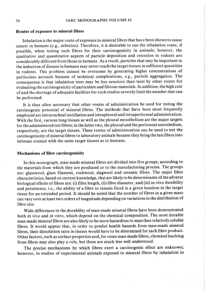#### Routes of exposure to minerai fibres

Inhalation is the major route of exposure to mineraI fibres that have been shown to cause cancer in humans (e.g., asbestos). Therefore, it is desirable to use the inhalation route, if possible, when testing such fibres for their carcinogenicity in animals; however, the qualitative and quantitative aspects of particle deposition and retention in rodents are considerably different from those in humans. As a result, particles that may be important in the induction of disease in humans may never reach the target tissues in sufficient quantities in rodents. This problem cannot be overcome by generating higher concentrations of particulate aerosols because of technical complications, e.g., particle aggregation. The consequence is that inhalation tests may be less sensitive than tests by other routes for evaluating the carcinogenicity of particulate and fibrous materials. ln addition, the high cost of and the shortage of adequate facilities for such studies severely limit the number that can be performed.

It is thus often necessary that other routes of administration be used for testing the carcinogenic potential of mineraI fibres. The methods that have been most frequently employed are intratracheal instillation and intrapleural and intraperitoneal administration. With the first, various lung tissues as well as the pleural mesothelium are the major targets for the administered test fibres; in the latter two, the pleural and the peritoneal mesothelium, respectively, are the target tissues. These routes of administration can be used to test the carcinogenicity of mineraI fibres to laboratory animaIs because they bring the test fibres into intimate contact with the same target tissues as in humans.

#### Mechanisms of fibre carcinogenicity

ln this monograph, man-made mineraI fibres are divided into five groups, according to the materials from which they are produced or to the manufacturing process. The groups are: glasswool, glass filament, rockwool, slagwool and ceramic fibres. The major fibre characteristics, based on current knowledge, that are 1ikely to be determinants of the adverse biological effects of fibres are: (i) fibre length, (ii) fibre diameter, and (iii) in-vivo durabilty and persistence, i.e., the ability of a fibre to remain fixed in a given location in the target tissue for an extended period. It should be noted that the number of fibres in a given mass can vary over at least two orders of magnitude depending on variations in the distribution of fibre size.

Wide differences in the durability of man-made mineraI fibres have been demonstrated both in vivo and in vitro, which depend on the chemical composition. The most durable man-made mineraI fibres are also likely to be more hazardous to man than relatively soluble fibres. It would appear that, in order to predict health hazards from man-made minerai fibres, their dissolution rates in tissues would have to be determined for each fibre product. Other factors, such as surface properties and, for some man-made fibres, chemical leaching from fibres may also play a role, but these are much less well understood.

The precise mechanisms by which fibres exert a carcinogenic effect are unknown; however, in studies of experimental animaIs exposed to minerai fibres by inhalation in